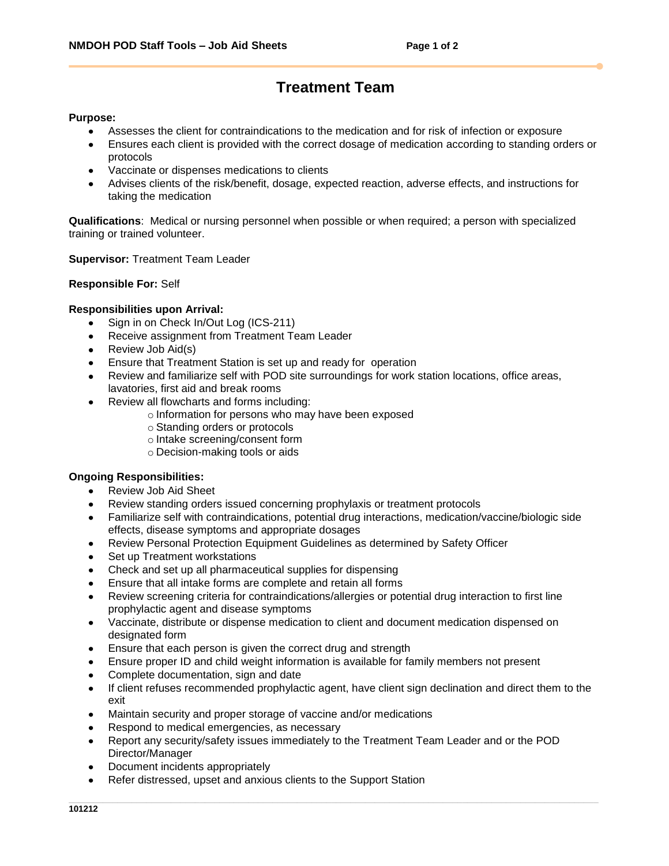# **Treatment Team**

### **Purpose:**

- Assesses the client for contraindications to the medication and for risk of infection or exposure
- Ensures each client is provided with the correct dosage of medication according to standing orders or protocols
- Vaccinate or dispenses medications to clients
- Advises clients of the risk/benefit, dosage, expected reaction, adverse effects, and instructions for taking the medication

**Qualifications**: Medical or nursing personnel when possible or when required; a person with specialized training or trained volunteer.

#### **Supervisor:** Treatment Team Leader

#### **Responsible For:** Self

# **Responsibilities upon Arrival:**

- $\bullet$ Sign in on Check In/Out Log (ICS-211)
- Receive assignment from Treatment Team Leader  $\bullet$
- Review Job Aid(s)
- Ensure that Treatment Station is set up and ready for operation
- Review and familiarize self with POD site surroundings for work station locations, office areas, lavatories, first aid and break rooms
- Review all flowcharts and forms including:
	- o Information for persons who may have been exposed
	- o Standing orders or protocols
	- o Intake screening/consent form
	- o Decision-making tools or aids

# **Ongoing Responsibilities:**

- Review Job Aid Sheet
- Review standing orders issued concerning prophylaxis or treatment protocols
- Familiarize self with contraindications, potential drug interactions, medication/vaccine/biologic side effects, disease symptoms and appropriate dosages
- Review Personal Protection Equipment Guidelines as determined by Safety Officer  $\bullet$
- Set up Treatment workstations  $\bullet$
- Check and set up all pharmaceutical supplies for dispensing
- Ensure that all intake forms are complete and retain all forms
- Review screening criteria for contraindications/allergies or potential drug interaction to first line prophylactic agent and disease symptoms
- Vaccinate, distribute or dispense medication to client and document medication dispensed on  $\bullet$ designated form
- Ensure that each person is given the correct drug and strength  $\blacksquare$
- Ensure proper ID and child weight information is available for family members not present
- Complete documentation, sign and date
- If client refuses recommended prophylactic agent, have client sign declination and direct them to the  $\bullet$ exit
- Maintain security and proper storage of vaccine and/or medications  $\bullet$
- Respond to medical emergencies, as necessary
- Report any security/safety issues immediately to the Treatment Team Leader and or the POD Director/Manager
- Document incidents appropriately  $\bullet$
- Refer distressed, upset and anxious clients to the Support Station